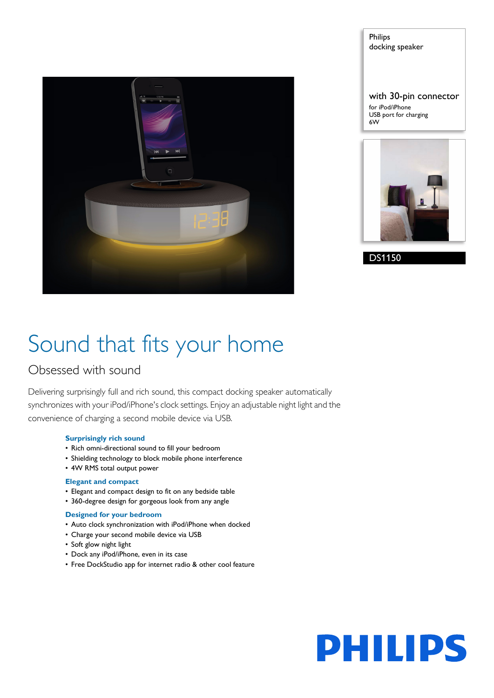

Philips docking speaker with 30-pin connector for iPod/iPhone USB port for charging 6W



DS1150

# Sound that fits your home

### Obsessed with sound

Delivering surprisingly full and rich sound, this compact docking speaker automatically synchronizes with your iPod/iPhone's clock settings. Enjoy an adjustable night light and the convenience of charging a second mobile device via USB.

#### **Surprisingly rich sound**

- Rich omni-directional sound to fill your bedroom
- Shielding technology to block mobile phone interference
- 4W RMS total output power

#### **Elegant and compact**

- Elegant and compact design to fit on any bedside table
- 360-degree design for gorgeous look from any angle

#### **Designed for your bedroom**

- Auto clock synchronization with iPod/iPhone when docked
- Charge your second mobile device via USB
- Soft glow night light
- Dock any iPod/iPhone, even in its case
- Free DockStudio app for internet radio & other cool feature